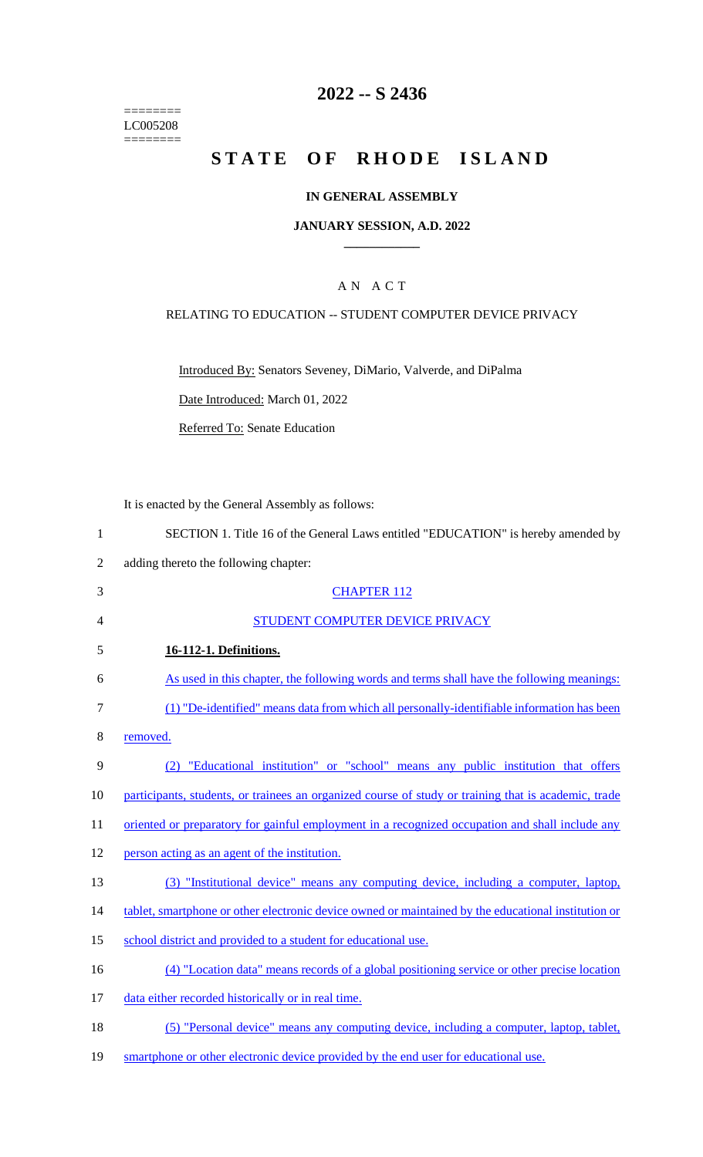======== LC005208 ========

# **2022 -- S 2436**

# **STATE OF RHODE ISLAND**

### **IN GENERAL ASSEMBLY**

### **JANUARY SESSION, A.D. 2022 \_\_\_\_\_\_\_\_\_\_\_\_**

## A N A C T

### RELATING TO EDUCATION -- STUDENT COMPUTER DEVICE PRIVACY

Introduced By: Senators Seveney, DiMario, Valverde, and DiPalma

Date Introduced: March 01, 2022

Referred To: Senate Education

It is enacted by the General Assembly as follows:

|   | SECTION 1. Title 16 of the General Laws entitled "EDUCATION" is hereby amended by |
|---|-----------------------------------------------------------------------------------|
|   | adding thereto the following chapter:                                             |
|   | <b>CHAPTER 112</b>                                                                |
| 4 | STUDENT COMPUTER DEVICE PRIVACY                                                   |
| 5 | 16-112-1. Definitions.                                                            |

| 6          | As used in this chapter, the following words and terms shall have the following meanings:  |
|------------|--------------------------------------------------------------------------------------------|
| $7\degree$ | (1) "De-identified" means data from which all personally-identifiable information has been |
| 8          | removed.                                                                                   |
| -9         | (2) "Educational institution" or "school" means any public institution that offers         |

10 participants, students, or trainees an organized course of study or training that is academic, trade

11 oriented or preparatory for gainful employment in a recognized occupation and shall include any

- 12 person acting as an agent of the institution.
- 13 (3) "Institutional device" means any computing device, including a computer, laptop,
- 14 tablet, smartphone or other electronic device owned or maintained by the educational institution or
- 15 school district and provided to a student for educational use.
- 16 (4) "Location data" means records of a global positioning service or other precise location
- 17 data either recorded historically or in real time.
- 18 (5) "Personal device" means any computing device, including a computer, laptop, tablet,
- 19 smartphone or other electronic device provided by the end user for educational use.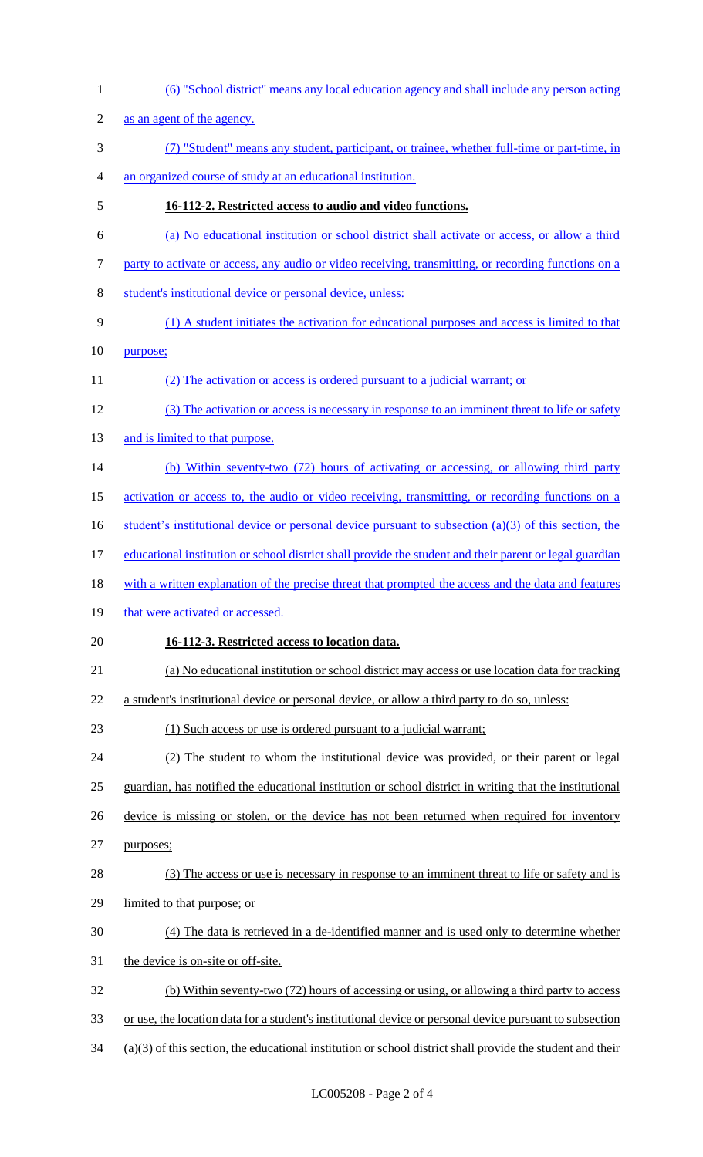(6) "School district" means any local education agency and shall include any person acting as an agent of the agency. (7) "Student" means any student, participant, or trainee, whether full-time or part-time, in an organized course of study at an educational institution. **16-112-2. Restricted access to audio and video functions.** (a) No educational institution or school district shall activate or access, or allow a third party to activate or access, any audio or video receiving, transmitting, or recording functions on a student's institutional device or personal device, unless: (1) A student initiates the activation for educational purposes and access is limited to that purpose; (2) The activation or access is ordered pursuant to a judicial warrant; or (3) The activation or access is necessary in response to an imminent threat to life or safety 13 and is limited to that purpose. (b) Within seventy-two (72) hours of activating or accessing, or allowing third party activation or access to, the audio or video receiving, transmitting, or recording functions on a 16 student's institutional device or personal device pursuant to subsection (a)(3) of this section, the educational institution or school district shall provide the student and their parent or legal guardian 18 with a written explanation of the precise threat that prompted the access and the data and features 19 that were activated or accessed. **16-112-3. Restricted access to location data.** (a) No educational institution or school district may access or use location data for tracking a student's institutional device or personal device, or allow a third party to do so, unless: (1) Such access or use is ordered pursuant to a judicial warrant; (2) The student to whom the institutional device was provided, or their parent or legal guardian, has notified the educational institution or school district in writing that the institutional device is missing or stolen, or the device has not been returned when required for inventory purposes; (3) The access or use is necessary in response to an imminent threat to life or safety and is limited to that purpose; or (4) The data is retrieved in a de-identified manner and is used only to determine whether the device is on-site or off-site. (b) Within seventy-two (72) hours of accessing or using, or allowing a third party to access or use, the location data for a student's institutional device or personal device pursuant to subsection (a)(3) of this section, the educational institution or school district shall provide the student and their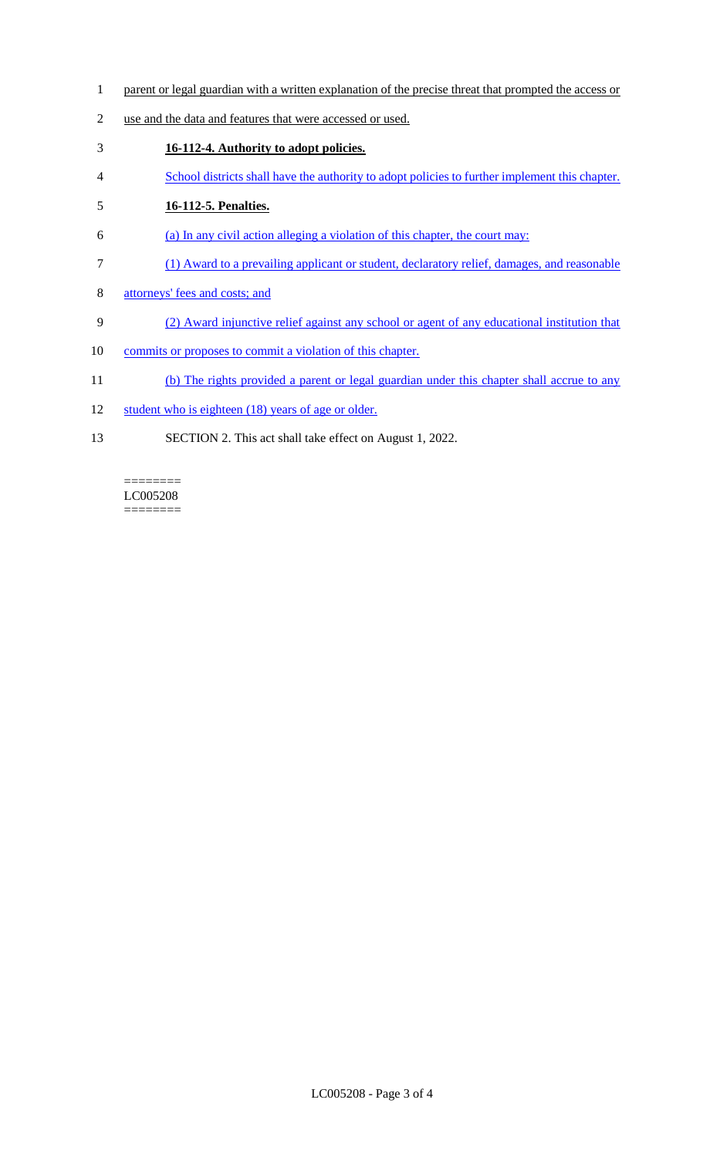- 1 parent or legal guardian with a written explanation of the precise threat that prompted the access or
- 2 use and the data and features that were accessed or used.
- 3 **16-112-4. Authority to adopt policies.**
- 4 School districts shall have the authority to adopt policies to further implement this chapter.

# 5 **16-112-5. Penalties.**

- 6 (a) In any civil action alleging a violation of this chapter, the court may:
- 7 (1) Award to a prevailing applicant or student, declaratory relief, damages, and reasonable
- 8 attorneys' fees and costs; and
- 9 (2) Award injunctive relief against any school or agent of any educational institution that
- 10 commits or proposes to commit a violation of this chapter.
- 11 (b) The rights provided a parent or legal guardian under this chapter shall accrue to any
- 12 student who is eighteen (18) years of age or older.
- 13 SECTION 2. This act shall take effect on August 1, 2022.

# LC005208

 $=$ 

 $=$